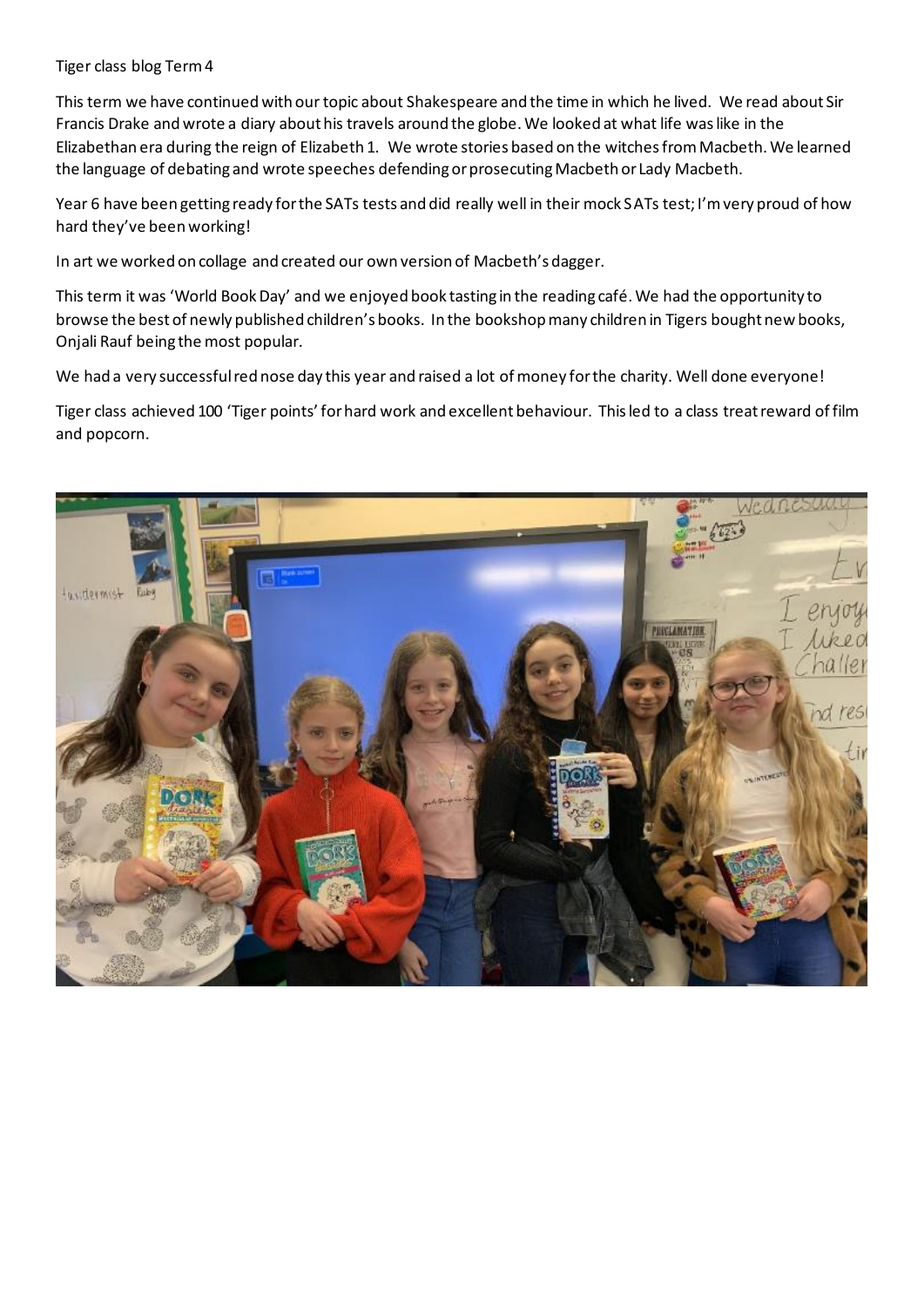Tiger class blog Term 4

This term we have continued with our topic about Shakespeare and the time in which he lived. We read about Sir Francis Drake and wrote a diary about his travels around the globe. We looked at what life was like in the Elizabethan era during the reign of Elizabeth 1. We wrote stories based on the witches from Macbeth. We learned the language of debating and wrote speeches defending or prosecuting Macbeth or Lady Macbeth.

Year 6 have been getting ready for the SATs tests and did really well in their mock SATs test; I'm very proud of how hard they've been working!

In art we worked on collage and created our own version of Macbeth's dagger.

This term it was 'World Book Day' and we enjoyed book tasting in the reading café. We had the opportunity to browse the best of newly published children's books. In the bookshop many children in Tigers bought new books, Onjali Rauf being the most popular.

We had a very successful red nose day this year and raised a lot of money for the charity. Well done everyone!

Tiger class achieved 100 'Tiger points' for hard work and excellent behaviour. This led to a class treat reward of film and popcorn.

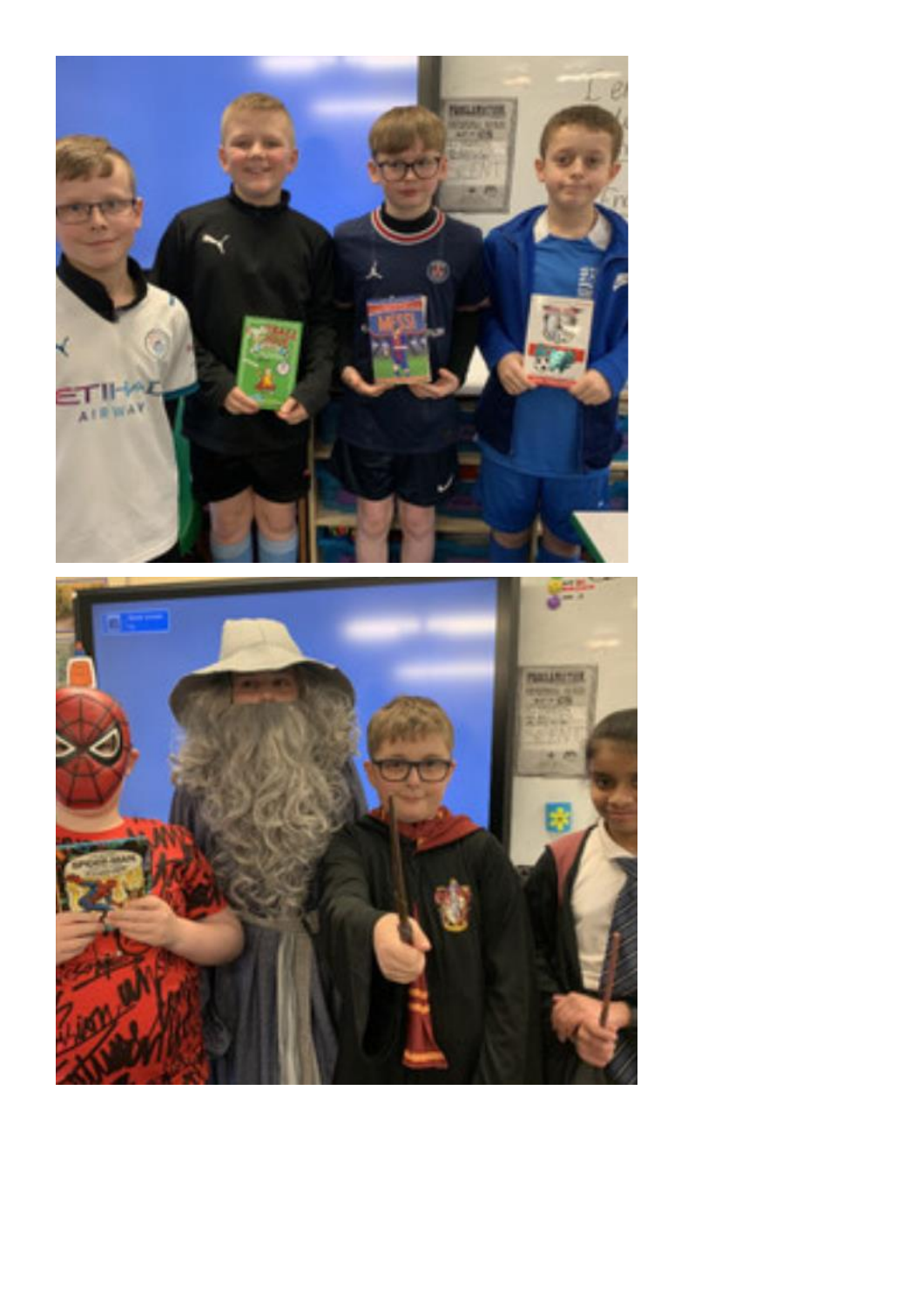

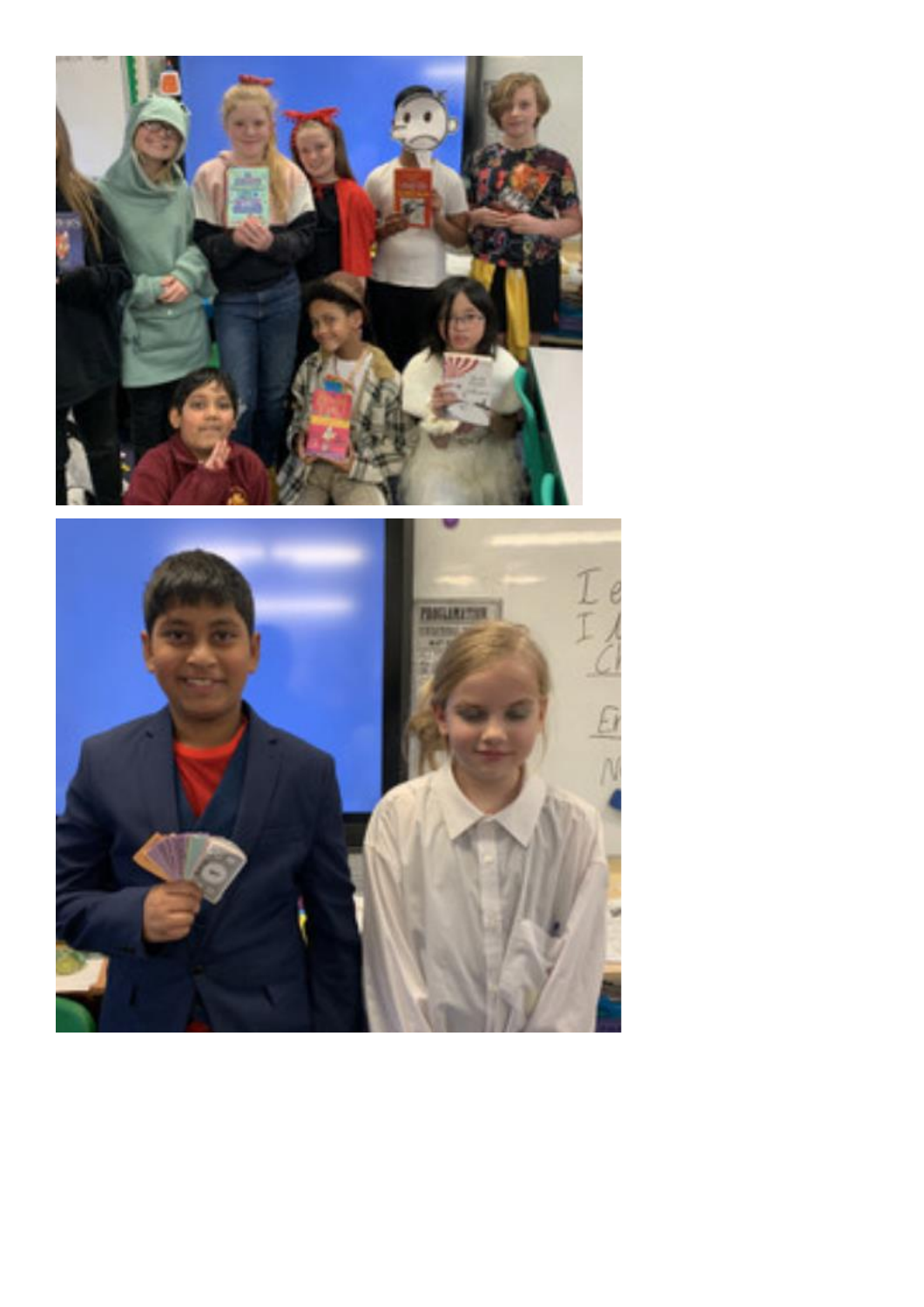